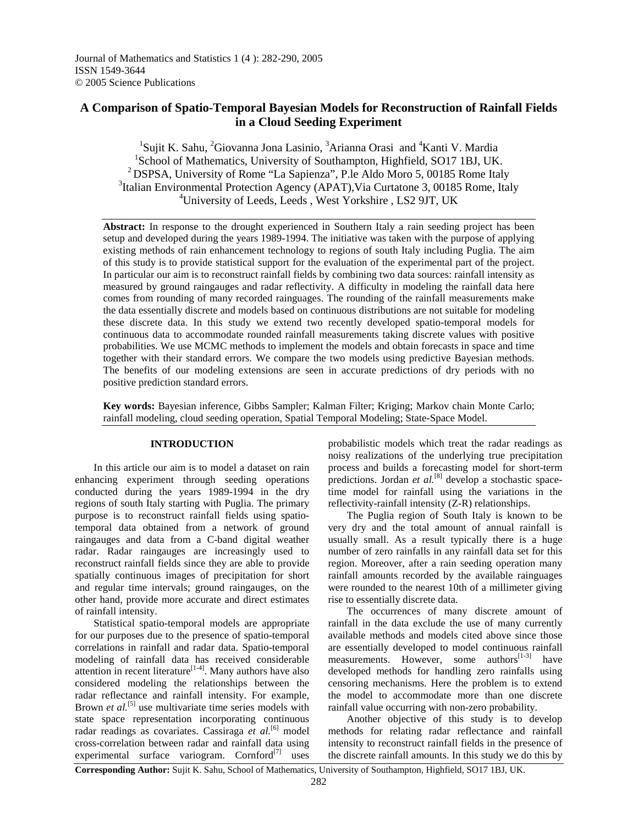# **A Comparison of Spatio-Temporal Bayesian Models for Reconstruction of Rainfall Fields in a Cloud Seeding Experiment**

<sup>1</sup>Sujit K. Sahu, <sup>2</sup>Giovanna Jona Lasinio, <sup>3</sup>Arianna Orasi and <sup>4</sup>Kanti V. Mardia <sup>1</sup>School of Mathematics, University of Southampton, Highfield, SO17 1BJ, UK. <sup>2</sup>DSPSA, University of Rome "La Sapienza", P.le Aldo Moro 5, 00185 Rome Italy <sup>3</sup>Italian Environmental Protection Agency (APAT), Via Curtatone 3, 00185 Rome, Italy <sup>4</sup>University of Leeds, Leeds , West Yorkshire , LS2 9JT, UK

**Abstract:** In response to the drought experienced in Southern Italy a rain seeding project has been setup and developed during the years 1989-1994. The initiative was taken with the purpose of applying existing methods of rain enhancement technology to regions of south Italy including Puglia. The aim of this study is to provide statistical support for the evaluation of the experimental part of the project. In particular our aim is to reconstruct rainfall fields by combining two data sources: rainfall intensity as measured by ground raingauges and radar reflectivity. A difficulty in modeling the rainfall data here comes from rounding of many recorded rainguages. The rounding of the rainfall measurements make the data essentially discrete and models based on continuous distributions are not suitable for modeling these discrete data. In this study we extend two recently developed spatio-temporal models for continuous data to accommodate rounded rainfall measurements taking discrete values with positive probabilities. We use MCMC methods to implement the models and obtain forecasts in space and time together with their standard errors. We compare the two models using predictive Bayesian methods. The benefits of our modeling extensions are seen in accurate predictions of dry periods with no positive prediction standard errors.

**Key words:** Bayesian inference, Gibbs Sampler; Kalman Filter; Kriging; Markov chain Monte Carlo; rainfall modeling, cloud seeding operation, Spatial Temporal Modeling; State-Space Model.

### **INTRODUCTION**

 In this article our aim is to model a dataset on rain enhancing experiment through seeding operations conducted during the years 1989-1994 in the dry regions of south Italy starting with Puglia. The primary purpose is to reconstruct rainfall fields using spatiotemporal data obtained from a network of ground raingauges and data from a C-band digital weather radar. Radar raingauges are increasingly used to reconstruct rainfall fields since they are able to provide spatially continuous images of precipitation for short and regular time intervals; ground raingauges, on the other hand, provide more accurate and direct estimates of rainfall intensity.

 Statistical spatio-temporal models are appropriate for our purposes due to the presence of spatio-temporal correlations in rainfall and radar data. Spatio-temporal modeling of rainfall data has received considerable attention in recent literature<sup>[1-4]</sup>. Many authors have also considered modeling the relationships between the radar reflectance and rainfall intensity. For example, Brown *et al.*<sup>[5]</sup> use multivariate time series models with state space representation incorporating continuous radar readings as covariates. Cassiraga *et al.*<sup>[6]</sup> model cross-correlation between radar and rainfall data using experimental surface variogram. Cornford $^{[7]}$  uses

probabilistic models which treat the radar readings as noisy realizations of the underlying true precipitation process and builds a forecasting model for short-term predictions. Jordan *et al.*<sup>[8]</sup> develop a stochastic spacetime model for rainfall using the variations in the reflectivity-rainfall intensity (Z-R) relationships.

 The Puglia region of South Italy is known to be very dry and the total amount of annual rainfall is usually small. As a result typically there is a huge number of zero rainfalls in any rainfall data set for this region. Moreover, after a rain seeding operation many rainfall amounts recorded by the available rainguages were rounded to the nearest 10th of a millimeter giving rise to essentially discrete data.

 The occurrences of many discrete amount of rainfall in the data exclude the use of many currently available methods and models cited above since those are essentially developed to model continuous rainfall measurements. However, some  $\text{authors}^{[1-3]}$  have developed methods for handling zero rainfalls using censoring mechanisms. Here the problem is to extend the model to accommodate more than one discrete rainfall value occurring with non-zero probability.

 Another objective of this study is to develop methods for relating radar reflectance and rainfall intensity to reconstruct rainfall fields in the presence of the discrete rainfall amounts. In this study we do this by

**Corresponding Author:** Sujit K. Sahu, School of Mathematics, University of Southampton, Highfield, SO17 1BJ, UK.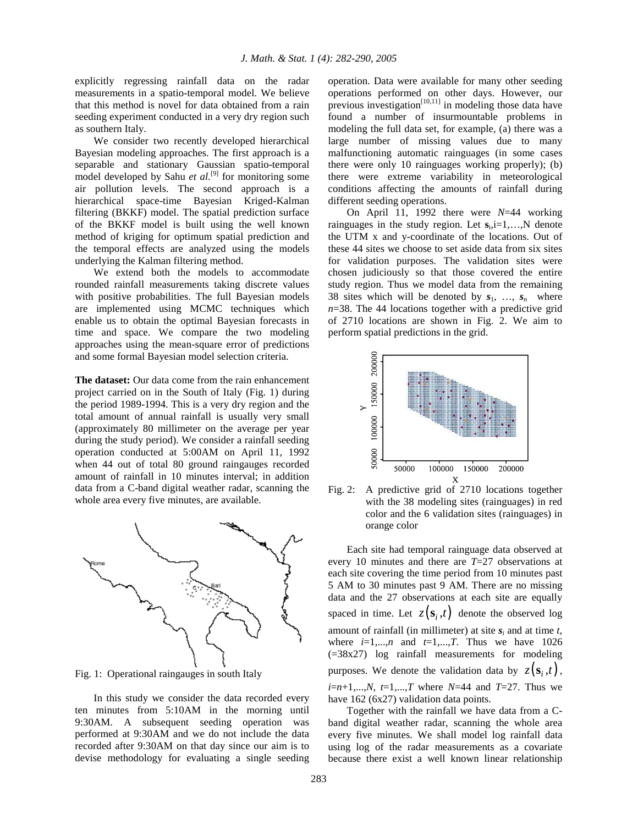explicitly regressing rainfall data on the radar measurements in a spatio-temporal model. We believe that this method is novel for data obtained from a rain seeding experiment conducted in a very dry region such as southern Italy.

 We consider two recently developed hierarchical Bayesian modeling approaches. The first approach is a separable and stationary Gaussian spatio-temporal model developed by Sahu *et al.*<sup>[9]</sup> for monitoring some air pollution levels. The second approach is a hierarchical space-time Bayesian Kriged-Kalman filtering (BKKF) model. The spatial prediction surface of the BKKF model is built using the well known method of kriging for optimum spatial prediction and the temporal effects are analyzed using the models underlying the Kalman filtering method.

 We extend both the models to accommodate rounded rainfall measurements taking discrete values with positive probabilities. The full Bayesian models are implemented using MCMC techniques which enable us to obtain the optimal Bayesian forecasts in time and space. We compare the two modeling approaches using the mean-square error of predictions and some formal Bayesian model selection criteria.

**The dataset:** Our data come from the rain enhancement project carried on in the South of Italy (Fig. 1) during the period 1989-1994. This is a very dry region and the total amount of annual rainfall is usually very small (approximately 80 millimeter on the average per year during the study period). We consider a rainfall seeding operation conducted at 5:00AM on April 11, 1992 when 44 out of total 80 ground raingauges recorded amount of rainfall in 10 minutes interval; in addition data from a C-band digital weather radar, scanning the whole area every five minutes, are available.



Fig. 1: Operational raingauges in south Italy

 In this study we consider the data recorded every ten minutes from 5:10AM in the morning until 9:30AM. A subsequent seeding operation was performed at 9:30AM and we do not include the data recorded after 9:30AM on that day since our aim is to devise methodology for evaluating a single seeding

operation. Data were available for many other seeding operations performed on other days. However, our previous investigation $\begin{bmatrix} 10,11 \end{bmatrix}$  in modeling those data have found a number of insurmountable problems in modeling the full data set, for example, (a) there was a large number of missing values due to many malfunctioning automatic rainguages (in some cases there were only 10 rainguages working properly); (b) there were extreme variability in meteorological conditions affecting the amounts of rainfall during different seeding operations.

 On April 11, 1992 there were *N*=44 working rainguages in the study region. Let  $s_i$ ,  $i=1,...,N$  denote the UTM x and y-coordinate of the locations. Out of these 44 sites we choose to set aside data from six sites for validation purposes. The validation sites were chosen judiciously so that those covered the entire study region. Thus we model data from the remaining 38 sites which will be denoted by  $s_1, \ldots, s_n$  where  $n=38$ . The 44 locations together with a predictive grid of 2710 locations are shown in Fig. 2. We aim to perform spatial predictions in the grid.



Fig. 2: A predictive grid of 2710 locations together with the 38 modeling sites (rainguages) in red color and the 6 validation sites (rainguages) in orange color

 Each site had temporal rainguage data observed at every 10 minutes and there are *T*=27 observations at each site covering the time period from 10 minutes past 5 AM to 30 minutes past 9 AM. There are no missing data and the 27 observations at each site are equally spaced in time. Let  $z(\mathbf{s}_i, t)$  denote the observed log amount of rainfall (in millimeter) at site  $s_i$  and at time  $t$ , where  $i=1,...,n$  and  $t=1,...,T$ . Thus we have 1026 (=38x27) log rainfall measurements for modeling purposes. We denote the validation data by  $z(\mathbf{s}_i, t)$ , *i*=*n*+1,...,*N*, *t*=1,...,*T* where *N*=44 and *T*=27. Thus we have 162 (6x27) validation data points.

 Together with the rainfall we have data from a Cband digital weather radar, scanning the whole area every five minutes. We shall model log rainfall data using log of the radar measurements as a covariate because there exist a well known linear relationship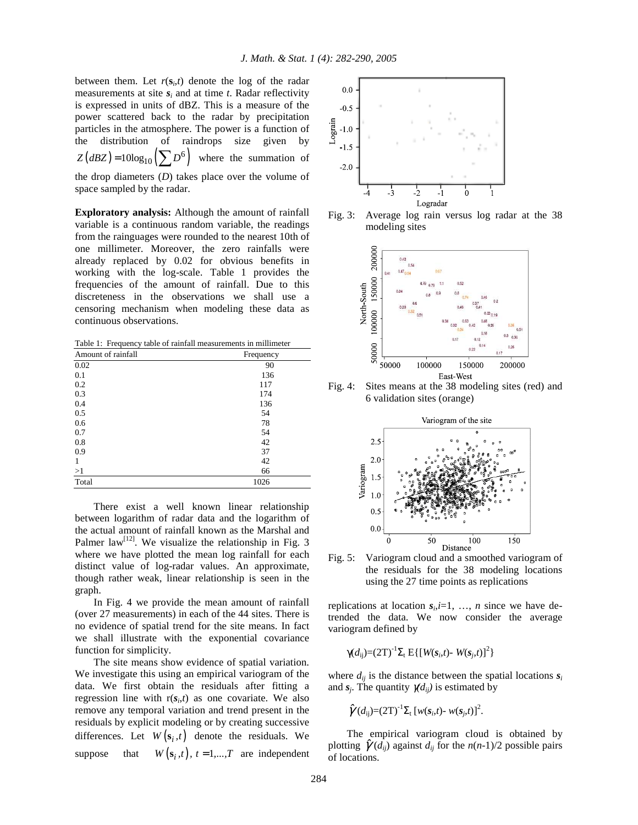between them. Let  $r(s_i, t)$  denote the log of the radar measurements at site  $s_i$  and at time  $t$ . Radar reflectivity is expressed in units of dBZ. This is a measure of the power scattered back to the radar by precipitation particles in the atmosphere. The power is a function of the distribution of raindrops size given by  $Z(dBZ) = 10\log_{10}(\sum$  $D^6$ where the summation of the drop diameters (*D*) takes place over the volume of space sampled by the radar.

**Exploratory analysis:** Although the amount of rainfall variable is a continuous random variable, the readings from the rainguages were rounded to the nearest 10th of one millimeter. Moreover, the zero rainfalls were already replaced by 0.02 for obvious benefits in working with the log-scale. Table 1 provides the frequencies of the amount of rainfall. Due to this discreteness in the observations we shall use a censoring mechanism when modeling these data as continuous observations.

Table 1: Frequency table of rainfall measurements in millimeter

| Amount of rainfall | Frequency |
|--------------------|-----------|
| 0.02               | 90        |
| 0.1                | 136       |
| 0.2                | 117       |
| 0.3                | 174       |
| 0.4                | 136       |
| 0.5                | 54        |
| 0.6                | 78        |
| 0.7                | 54        |
| 0.8                | 42        |
| 0.9                | 37        |
| 1                  | 42        |
| >1                 | 66        |
| Total              | 1026      |

 There exist a well known linear relationship between logarithm of radar data and the logarithm of the actual amount of rainfall known as the Marshal and Palmer law<sup>[12]</sup>. We visualize the relationship in Fig. 3 where we have plotted the mean log rainfall for each distinct value of log-radar values. An approximate, though rather weak, linear relationship is seen in the graph.

 In Fig. 4 we provide the mean amount of rainfall (over 27 measurements) in each of the 44 sites. There is no evidence of spatial trend for the site means. In fact we shall illustrate with the exponential covariance function for simplicity.

 The site means show evidence of spatial variation. We investigate this using an empirical variogram of the data. We first obtain the residuals after fitting a regression line with  $r(s_i,t)$  as one covariate. We also remove any temporal variation and trend present in the residuals by explicit modeling or by creating successive differences. Let  $W(\mathbf{s}_i, t)$  denote the residuals. We suppose that  $W(\mathbf{s}_i, t)$ ,  $t = 1,...,T$  are independent



Fig. 3: Average log rain versus log radar at the 38 modeling sites



Fig. 4: Sites means at the 38 modeling sites (red) and 6 validation sites (orange)



Fig. 5: Variogram cloud and a smoothed variogram of the residuals for the 38 modeling locations using the 27 time points as replications

replications at location  $s_i$ , *i*=1, ..., *n* since we have detrended the data. We now consider the average variogram defined by

$$
\gamma(d_{ij}) = (2T)^{-1} \Sigma_t \, E\{ [W(s_i, t) - W(s_j, t)]^2 \}
$$

where  $d_{ij}$  is the distance between the spatial locations  $s_i$ and  $s_j$ . The quantity  $\chi(d_{ij})$  is estimated by

$$
\hat{\gamma}(d_{ij})=(2T)^{-1}\Sigma_{t} [w(s_i,t)-w(s_j,t)]^{2}.
$$

 The empirical variogram cloud is obtained by plotting  $\hat{\gamma}(d_{ij})$  against  $d_{ij}$  for the  $n(n-1)/2$  possible pairs of locations.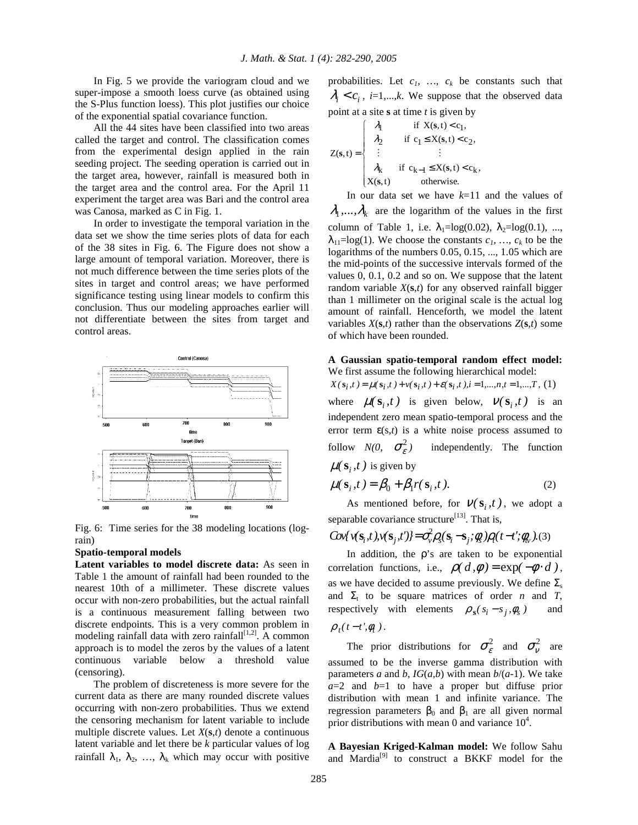In Fig. 5 we provide the variogram cloud and we super-impose a smooth loess curve (as obtained using the S-Plus function loess). This plot justifies our choice of the exponential spatial covariance function.

 All the 44 sites have been classified into two areas called the target and control. The classification comes from the experimental design applied in the rain seeding project. The seeding operation is carried out in the target area, however, rainfall is measured both in the target area and the control area. For the April 11 experiment the target area was Bari and the control area was Canosa, marked as C in Fig. 1.

 In order to investigate the temporal variation in the data set we show the time series plots of data for each of the 38 sites in Fig. 6. The Figure does not show a large amount of temporal variation. Moreover, there is not much difference between the time series plots of the sites in target and control areas; we have performed significance testing using linear models to confirm this conclusion. Thus our modeling approaches earlier will not differentiate between the sites from target and control areas.



Fig. 6: Time series for the 38 modeling locations (lograin)

#### **Spatio-temporal models**

**Latent variables to model discrete data:** As seen in Table 1 the amount of rainfall had been rounded to the nearest 10th of a millimeter. These discrete values occur with non-zero probabilities, but the actual rainfall is a continuous measurement falling between two discrete endpoints. This is a very common problem in modeling rainfall data with zero rainfall<sup>[1,2]</sup>. A common approach is to model the zeros by the values of a latent continuous variable below a threshold value (censoring).

 The problem of discreteness is more severe for the current data as there are many rounded discrete values occurring with non-zero probabilities. Thus we extend the censoring mechanism for latent variable to include multiple discrete values. Let *X*(**s**,*t*) denote a continuous latent variable and let there be *k* particular values of log rainfall  $\lambda_1$ ,  $\lambda_2$ , ...,  $\lambda_k$  which may occur with positive probabilities. Let  $c_1$ ,  $\dots$ ,  $c_k$  be constants such that  $\lambda_i < c_i$ , *i*=1,...,*k*. We suppose that the observed data point at a site **s** at time *t* is given by

$$
Z(s,t) = \begin{cases} \n\lambda_1 & \text{if } X(s,t) < c_1, \\
\lambda_2 & \text{if } c_1 \le X(s,t) < c_2, \\
\vdots & \vdots \\
\lambda_k & \text{if } c_{k-1} \le X(s,t) < c_k, \\
X(s,t) & \text{otherwise.}\n\end{cases}
$$

 In our data set we have *k*=11 and the values of  $\lambda_1, \ldots, \lambda_k$  are the logarithm of the values in the first column of Table 1, i.e.  $\lambda_1 = \log(0.02)$ ,  $\lambda_2 = \log(0.1)$ , ...,  $\lambda_{11} = \log(1)$ . We choose the constants  $c_1$ , ...,  $c_k$  to be the logarithms of the numbers 0.05, 0.15, ..., 1.05 which are the mid-points of the successive intervals formed of the values 0, 0.1, 0.2 and so on. We suppose that the latent random variable *X*(**s**,*t*) for any observed rainfall bigger than 1 millimeter on the original scale is the actual log amount of rainfall. Henceforth, we model the latent variables  $X(s,t)$  rather than the observations  $Z(s,t)$  some of which have been rounded.

#### **A Gaussian spatio-temporal random effect model:** We first assume the following hierarchical model:

 $X(\mathbf{s}_i,t) = \mu(\mathbf{s}_i,t) + v(\mathbf{s}_i,t) + \varepsilon(\mathbf{s}_i,t), i = 1,...,n, t = 1,...,T, (1)$ where  $\mu(\mathbf{s}_i, t)$  is given below,  $\nu(\mathbf{s}_i, t)$  is an independent zero mean spatio-temporal process and the error term  $\varepsilon(s,t)$  is a white noise process assumed to follow  $N(0, \sigma_{\epsilon}^2)$ independently. The function  $\mu(s_i, t)$  is given by

$$
\mu(\mathbf{s}_i, t) = \beta_0 + \beta_1 r(\mathbf{s}_i, t). \tag{2}
$$

As mentioned before, for  $V(S_i, t)$ , we adopt a separable covariance structure<sup>[13]</sup>. That is,

$$
Cov{\gamma(\mathbf{s}_i,t), \gamma(\mathbf{s}_j,t')} = \sigma_v^2 \rho_s(\mathbf{s}_i - \mathbf{s}_j; \phi_s) \rho_l(t - t'; \phi_v). \tag{3}
$$

In addition, the  $\rho$ 's are taken to be exponential correlation functions, i.e.,  $\rho(d, \phi) = \exp(-\phi \cdot d)$ , as we have decided to assume previously. We define  $\Sigma_s$ and  $\Sigma_t$  to be square matrices of order *n* and *T*, respectively with elements  $\rho_s(s_i - s_j, \phi_s)$  and  $\rho_t(t - t', \phi_t)$ .

The prior distributions for  $\sigma_{\varepsilon}^2$  and  $\sigma_{\nu}^2$  are assumed to be the inverse gamma distribution with parameters *a* and *b*,  $IG(a,b)$  with mean  $b/(a-1)$ . We take  $a=2$  and  $b=1$  to have a proper but diffuse prior distribution with mean 1 and infinite variance. The regression parameters  $β_0$  and  $β_1$  are all given normal prior distributions with mean 0 and variance  $10^4$ .

**A Bayesian Kriged-Kalman model:** We follow Sahu and Mardia<sup>[9]</sup> to construct a BKKF model for the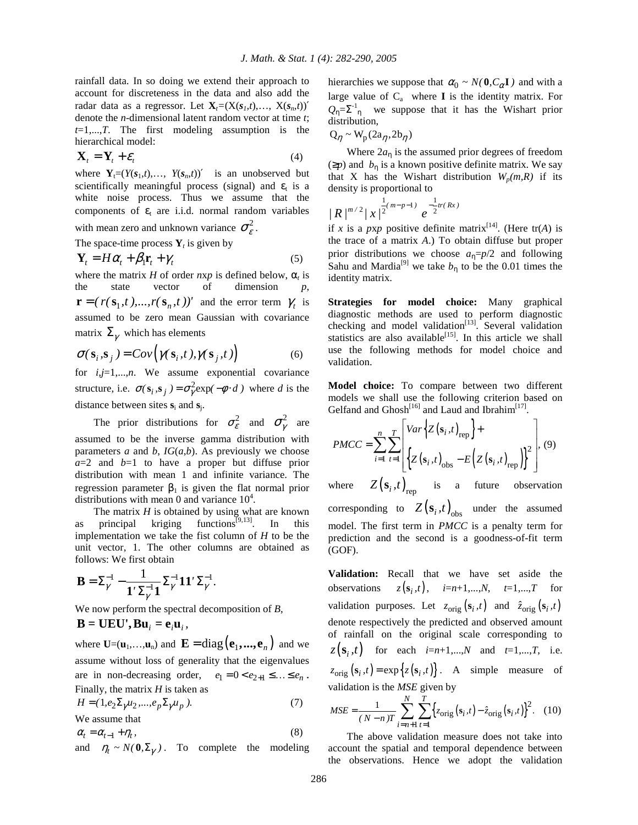rainfall data. In so doing we extend their approach to account for discreteness in the data and also add the radar data as a regressor. Let  $\mathbf{X}_i = (X(s_i, t), \ldots, X(s_i, t))'$ denote the *n*-dimensional latent random vector at time *t*; *t*=1,...,*T*. The first modeling assumption is the hierarchical model:

$$
\mathbf{X}_t = \mathbf{Y}_t + \mathcal{E}_t \tag{4}
$$

where  $Y_t=(Y(s_1,t),\ldots,Y(s_n,t))'$  is an unobserved but scientifically meaningful process (signal) and  $\varepsilon_t$  is a white noise process. Thus we assume that the components of  $\varepsilon_t$  are i.i.d. normal random variables with mean zero and unknown variance  $\sigma_{\varepsilon}^2$ .

The space-time process  $Y_t$  is given by

$$
\mathbf{Y}_t = H\alpha_t + \beta_1 \mathbf{r}_t + \gamma_t \tag{5}
$$

where the matrix *H* of order  $nxp$  is defined below,  $\alpha_t$  is the state vector of dimension *p*,  $\mathbf{r} = (r(\mathbf{s}_1, t), ..., r(\mathbf{s}_n, t))'$  and the error term  $\gamma_t$  is assumed to be zero mean Gaussian with covariance matrix  $\Sigma_{\gamma}$  which has elements

$$
\sigma(\mathbf{s}_i, \mathbf{s}_j) = Cov\Big(\gamma(\mathbf{s}_i, t), \gamma(\mathbf{s}_j, t)\Big) \tag{6}
$$

for *i*,*j*=1,...,*n*. We assume exponential covariance structure, i.e.  $\sigma(\mathbf{s}_i, \mathbf{s}_j) = \sigma_{\gamma}^2 \exp(-\phi \cdot d)$  where *d* is the distance between sites  $s_i$  and  $s_j$ .

The prior distributions for  $\sigma_{\varepsilon}^2$  and  $\sigma_{\gamma}^2$  are assumed to be the inverse gamma distribution with parameters *a* and *b*, *IG*(*a*,*b*). As previously we choose  $a=2$  and  $b=1$  to have a proper but diffuse prior distribution with mean 1 and infinite variance. The regression parameter  $β_1$  is given the flat normal prior distributions with mean 0 and variance  $10^4$ .

The matrix *H* is obtained by using what are known<br>principal kriging functions<sup>[9,13]</sup>. In this as principal kriging functions<sup>[9,13]</sup>. In this implementation we take the fist column of *H* to be the unit vector, 1. The other columns are obtained as follows: We first obtain

$$
\mathbf{B} = \boldsymbol{\Sigma}_{\boldsymbol{\gamma}}^{-1} - \frac{1}{\mathbf{1}'\boldsymbol{\Sigma}_{\boldsymbol{\gamma}}^{-1}\mathbf{1}} \boldsymbol{\Sigma}_{\boldsymbol{\gamma}}^{-1} \mathbf{1} \mathbf{1}' \boldsymbol{\Sigma}_{\boldsymbol{\gamma}}^{-1}.
$$

We now perform the spectral decomposition of *B*,

$$
\mathbf{B} = \mathbf{UEU}^{\prime}, \mathbf{B}\mathbf{u}_{i} = \mathbf{e}_{i}\mathbf{u}_{i},
$$

where  $\mathbf{U}=(\mathbf{u}_1,\ldots,\mathbf{u}_n)$  and  $\mathbf{E}=\text{diag}(\mathbf{e}_1,\ldots,\mathbf{e}_n)$  and we assume without loss of generality that the eigenvalues are in non-decreasing order,  $e_1 = 0 < e_{2+1} \leq \ldots \leq e_n$ . Finally, the matrix *H* is taken as

$$
H = (1, e_2 \Sigma_\gamma u_2, \dots, e_p \Sigma_\gamma u_p). \tag{7}
$$

We assume that  $\alpha_t = \alpha_{t-1} + \eta_t$ , *,* (8)

and  $\eta_t \sim N(\mathbf{0}, \Sigma_\gamma)$ . To complete the modeling

hierarchies we suppose that  $\alpha_0 \sim N(0, C_\alpha I)$  and with a large value of  $C_a$  where **I** is the identity matrix. For  $Q_{\eta} = \sum_{n=1}^{\infty}$  we suppose that it has the Wishart prior distribution,

 $Q_n \sim W_p(2a_n, 2b_n)$ 

Where  $2a_n$  is the assumed prior degrees of freedom  $(\geq p)$  and  $b_n$  is a known positive definite matrix. We say that X has the Wishart distribution  $W_p(m, R)$  if its density is proportional to

$$
/R/^{m/2}/x^{1 \over 2^{(m-p-1)}}e^{-{1 \over 2}tr(Rx)}
$$

if *x* is a *pxp* positive definite matrix<sup>[14]</sup>. (Here tr(*A*) is the trace of a matrix *A*.) To obtain diffuse but proper prior distributions we choose  $a_n=p/2$  and following Sahu and Mardia<sup>[9]</sup> we take  $b_n$  to be the 0.01 times the identity matrix.

**Strategies for model choice:** Many graphical diagnostic methods are used to perform diagnostic checking and model validation<sup>[13]</sup>. Several validation statistics are also available<sup>[15]</sup>. In this article we shall use the following methods for model choice and validation.

**Model choice:** To compare between two different models we shall use the following criterion based on Gelfand and Ghosh<sup>[16]</sup> and Laud and Ibrahim<sup>[17]</sup>.

$$
PMCC = \sum_{i=1}^{n} \sum_{t=1}^{T} \left[ \begin{matrix} Var \Big\{ Z(s_i, t)_{\text{rep}} \Big\} + \\ \Big\{ Z(s_i, t)_{\text{obs}} - E \Big( Z(s_i, t)_{\text{rep}} \Big) \Big\}^2 \end{matrix} \right], (9)
$$

where  $Z(\mathbf{s}_i, t)_{\text{rep}}$  is a future observation corresponding to  $Z(\mathbf{s}_i, t)_{\text{obs}}$ **s** under the assumed model. The first term in *PMCC* is a penalty term for prediction and the second is a goodness-of-fit term (GOF).

**Validation:** Recall that we have set aside the observations  $z(s_i,t)$ ,  $i=n+1,...,N$ ,  $t=1,...,T$  for validation purposes. Let  $z_{\text{orig}}(s_i, t)$  and  $\hat{z}_{\text{orig}}(s_i, t)$ denote respectively the predicted and observed amount of rainfall on the original scale corresponding to  $z(\mathbf{s}_i, t)$  for each  $i=n+1,...,N$  and  $t=1,...,T$ , i.e.  $z_{\text{orig}}(s_i, t) = \exp\{z(s_i, t)\}\.$  A simple measure of validation is the *MSE* given by

$$
MSE = \frac{1}{(N - n)T} \sum_{i=n+1}^{N} \sum_{t=1}^{T} \left\{ z_{\text{orig}} \left( s_i, t \right) - \hat{z}_{\text{orig}} \left( s_i, t \right) \right\}^2.
$$
 (10)

 The above validation measure does not take into account the spatial and temporal dependence between the observations. Hence we adopt the validation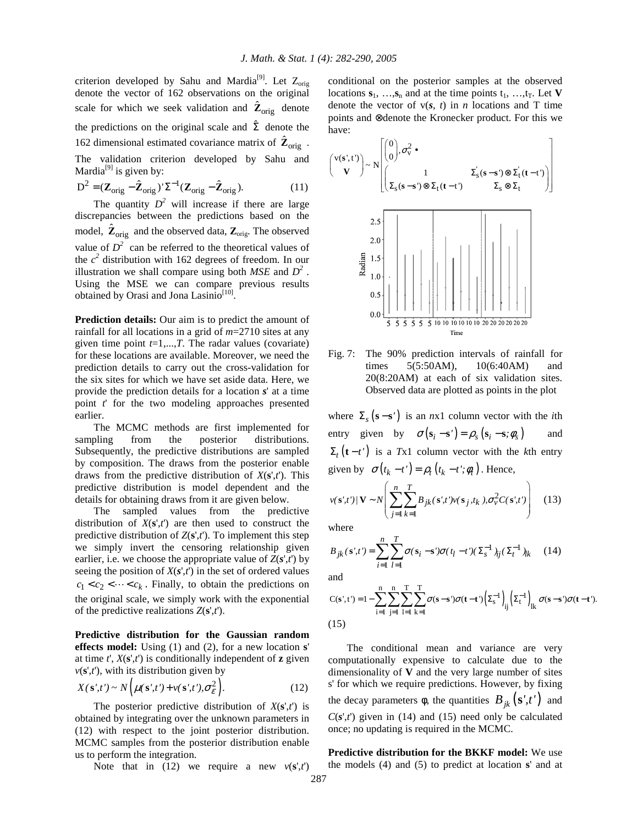criterion developed by Sahu and Mardia<sup>[9]</sup>. Let  $Z_{\text{orig}}$ denote the vector of 162 observations on the original scale for which we seek validation and  $\hat{\mathbf{Z}}_{\text{orig}}$  denote the predictions on the original scale and  $\hat{\Sigma}$  denote the 162 dimensional estimated covariance matrix of  $\hat{\mathbf{Z}}_{\text{orig}}$ . The validation criterion developed by Sahu and Mardia<sup>[9]</sup> is given by:

$$
D^{2} = (\mathbf{Z}_{\text{orig}} - \hat{\mathbf{Z}}_{\text{orig}})^{\prime} \Sigma^{-1} (\mathbf{Z}_{\text{orig}} - \hat{\mathbf{Z}}_{\text{orig}}). \tag{11}
$$

The quantity  $D^2$  will increase if there are large discrepancies between the predictions based on the model,  $\hat{\mathbf{Z}}_{\text{orig}}$  and the observed data,  $\mathbf{Z}_{\text{orig}}$ . The observed value of  $D^2$  can be referred to the theoretical values of the  $c^2$  distribution with 162 degrees of freedom. In our illustration we shall compare using both  $MSE$  and  $D^2$ . Using the MSE we can compare previous results obtained by Orasi and Jona Lasinio<sup>[10]</sup>.

**Prediction details:** Our aim is to predict the amount of rainfall for all locations in a grid of *m*=2710 sites at any given time point  $t=1,...,T$ . The radar values (covariate) for these locations are available. Moreover, we need the prediction details to carry out the cross-validation for the six sites for which we have set aside data. Here, we provide the prediction details for a location *s*' at a time point *t*' for the two modeling approaches presented earlier.

 The MCMC methods are first implemented for sampling from the posterior distributions. Subsequently, the predictive distributions are sampled by composition. The draws from the posterior enable draws from the predictive distribution of *X*(**s**',*t*'). This predictive distribution is model dependent and the details for obtaining draws from it are given below.

 The sampled values from the predictive distribution of  $X(s',t')$  are then used to construct the predictive distribution of  $Z(s',t')$ . To implement this step we simply invert the censoring relationship given earlier, i.e. we choose the appropriate value of  $Z(s',t')$  by seeing the position of  $X(s',t')$  in the set of ordered values  $c_1 < c_2 < \cdots < c_k$ . Finally, to obtain the predictions on the original scale, we simply work with the exponential of the predictive realizations *Z*(**s**',*t*').

**Predictive distribution for the Gaussian random effects model:** Using (1) and (2), for a new location **s**' at time  $t'$ ,  $X(\mathbf{s}' , t')$  is conditionally independent of **z** given  $v(s',t')$ , with its distribution given by

$$
X(\mathbf{s}',t') \sim N\Big(\mu(\mathbf{s}',t') + \nu(\mathbf{s}',t'),\sigma_{\varepsilon}^2\Big). \tag{12}
$$

The posterior predictive distribution of  $X(\mathbf{s}',t')$  is obtained by integrating over the unknown parameters in (12) with respect to the joint posterior distribution. MCMC samples from the posterior distribution enable us to perform the integration.

Note that in (12) we require a new  $v(\mathbf{s}',t')$ 

conditional on the posterior samples at the observed locations  $s_1, \ldots, s_n$  and at the time points  $t_1, \ldots, t_T$ . Let **V** denote the vector of  $v(s, t)$  in *n* locations and T time points and ⊗denote the Kronecker product. For this we have:

$$
\begin{pmatrix}\nv(s',t')\nv(0',t')\n\end{pmatrix} \sim N \begin{bmatrix}\n0 \\
0\n\end{bmatrix}, \sigma_v^2 \bullet\n\begin{bmatrix}\n1 & \Sigma_s(s-s') \otimes \Sigma_t(t-t')\n\end{bmatrix}
$$
\n
$$
\begin{bmatrix}\n2.5 \\
2.0 \\
2.0 \\
\frac{5}{2} & 1.5 \\
\frac{2.10}{2} & 1.0 \\
0.5 & 1.0\n\end{bmatrix} \cdot \begin{bmatrix}\n1 & 1 & 1 \\
1 & 1 & 1 \\
1 & 1 & 1 \\
1 & 1 & 1\n\end{bmatrix} \cdot \begin{bmatrix}\n1 & 1 & 1 \\
1 & 1 & 1 \\
1 & 1 & 1 \\
1 & 1 & 1\n\end{bmatrix} \cdot \begin{bmatrix}\n1 & 1 & 1 \\
1 & 1 & 1 \\
1 & 1 & 1 \\
1 & 1 & 1\n\end{bmatrix}
$$
\n
$$
\begin{bmatrix}\n0.5 & 1 & 1 & 1 \\
0 & 5 & 5 & 5 & 5 \\
5 & 5 & 5 & 5 & 5\n\end{bmatrix} \cdot \begin{bmatrix}\n1 & 1 & 1 \\
1 & 1 & 1 \\
1 & 1 & 1 \\
1 & 1 & 1\n\end{bmatrix} \cdot \begin{bmatrix}\n1 & 1 & 1 \\
1 & 1 & 1 \\
1 & 1 & 1 \\
1 & 1 & 1\n\end{bmatrix}
$$

Fig. 7: The 90% prediction intervals of rainfall for times 5(5:50AM), 10(6:40AM) and 20(8:20AM) at each of six validation sites. Observed data are plotted as points in the plot

where  $\Sigma_s$  (s - s<sup>'</sup>) is an *n*x1 column vector with the *i*th entry given by  $\sigma(\mathbf{s}_i - \mathbf{s}') = \rho_s(\mathbf{s}_i - \mathbf{s}; \phi_s)$  and  $\Sigma_t$  (**t** – *t'*) is a *T*x1 column vector with the *k*th entry given by  $\sigma(t_k - t') = \rho_t(t_k - t'; \phi_t)$ . Hence,

$$
v(\mathbf{s}';t')/\mathbf{V} \sim N \left( \sum_{j=1}^{n} \sum_{k=1}^{T} B_{jk}(\mathbf{s}';t') v(\mathbf{s}_j,t_k), \sigma_v^2 C(\mathbf{s}';t') \right) \quad (13)
$$

where

$$
B_{jk}(\mathbf{s}',t') = \sum_{i=1}^{n} \sum_{l=1}^{T} \sigma(\mathbf{s}_i - \mathbf{s}') \sigma(t_l - t') (\Sigma_s^{-1} )_{ij} (\Sigma_t^{-1} )_{lk} \tag{14}
$$

and

$$
C(s^{\prime},t^{\prime})=1-\sum_{i=1}^{n}\sum_{j=1}^{n}\sum_{l=1}^{T}\sum_{k=l}^{T}\sigma(s-s^{\prime})\sigma(t-t^{\prime})\left(\Sigma_{s}^{-1}\right)_{ij}\left(\Sigma_{t}^{-1}\right)_{lk}\sigma(s-s^{\prime})\sigma(t-t^{\prime}).
$$
\n(15)

 The conditional mean and variance are very computationally expensive to calculate due to the dimensionality of **V** and the very large number of sites s' for which we require predictions. However, by fixing the decay parameters  $\phi$ , the quantities  $B_{ik}(\mathbf{s}',t')$  and  $C(s',t')$  given in (14) and (15) need only be calculated once; no updating is required in the MCMC.

**Predictive distribution for the BKKF model:** We use the models (4) and (5) to predict at location **s**' and at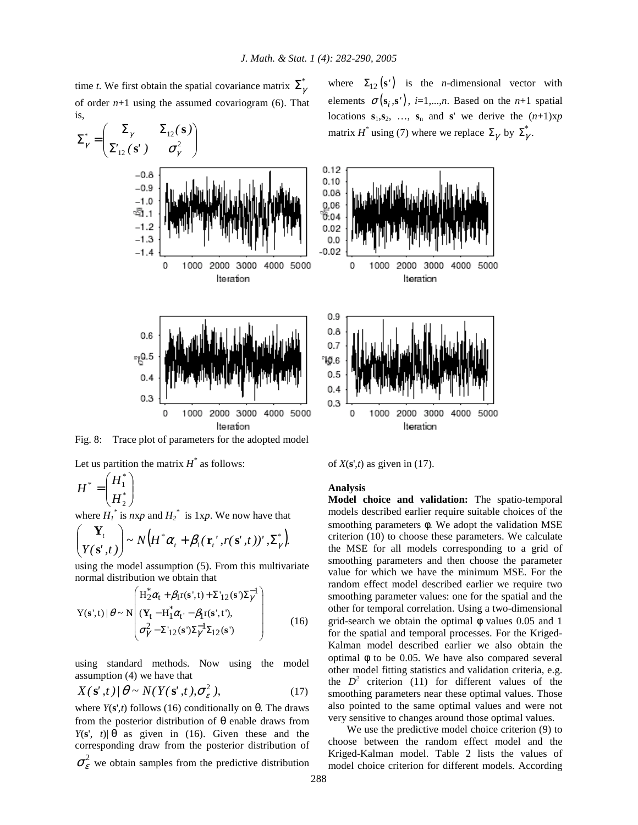time *t*. We first obtain the spatial covariance matrix  $\Sigma^*_{\gamma}$ of order  $n+1$  using the assumed covariogram (6). That is,



Fig. 8: Trace plot of parameters for the adopted model

Let us partition the matrix  $H^*$  as follows:

$$
H^* = \begin{pmatrix} H_1^* \\ H_2^* \end{pmatrix}
$$

where  $H_1^*$  is  $nxp$  and  $H_2^*$  is 1xp. We now have that

$$
\begin{pmatrix} \mathbf{Y}_t \\ Y(\mathbf{s}',t) \end{pmatrix} \sim N \big( H^* \alpha_t + \beta_1 (\mathbf{r}_t', r(\mathbf{s}',t))', \Sigma^*_{\gamma} \big).
$$

using the model assumption (5). From this multivariate normal distribution we obtain that

$$
Y(s',t) | \theta \sim N \begin{pmatrix} H_2^* \alpha_t + \beta_1 r(s',t) + \Sigma_{12}(s') \Sigma_{\gamma}^{-1} \\ (Y_t - H_1^* \alpha_t - \beta_1 r(s',t'), \\ \sigma_{\gamma}^2 - \Sigma_{12}(s') \Sigma_{\gamma}^{-1} \Sigma_{12}(s') \end{pmatrix}
$$
 (16)

using standard methods. Now using the model assumption (4) we have that

$$
X(\mathbf{s}',t)/\theta \sim N(Y(\mathbf{s}',t),\sigma_{\varepsilon}^2),\tag{17}
$$

where  $Y(s',t)$  follows (16) conditionally on  $\theta$ . The draws from the posterior distribution of θ enable draws from *Y*(s', *t*)|  $\theta$  as given in (16). Given these and the corresponding draw from the posterior distribution of  $\sigma_{\varepsilon}^2$  we obtain samples from the predictive distribution where  $\Sigma_{12}(\mathbf{s}')$  is the *n*-dimensional vector with elements  $\sigma(\mathbf{s}_i, \mathbf{s}')$ , *i*=1,...,*n*. Based on the *n*+1 spatial locations  $s_1, s_2, \ldots, s_n$  and **s**' we derive the  $(n+1)xy$ matrix *H*<sup>\*</sup> using (7) where we replace  $\Sigma_{\gamma}$  by  $\Sigma_{\gamma}^{*}$ .



of  $X(\mathbf{s}',t)$  as given in (17).

**Analysis** 

**Model choice and validation:** The spatio-temporal models described earlier require suitable choices of the smoothing parameters φ. We adopt the validation MSE criterion (10) to choose these parameters. We calculate the MSE for all models corresponding to a grid of smoothing parameters and then choose the parameter value for which we have the minimum MSE. For the random effect model described earlier we require two smoothing parameter values: one for the spatial and the other for temporal correlation. Using a two-dimensional grid-search we obtain the optimal  $\phi$  values 0.05 and 1 for the spatial and temporal processes. For the Kriged-Kalman model described earlier we also obtain the optimal φ to be 0.05. We have also compared several other model fitting statistics and validation criteria, e.g. the  $D^2$  criterion (11) for different values of the smoothing parameters near these optimal values. Those also pointed to the same optimal values and were not very sensitive to changes around those optimal values.

 We use the predictive model choice criterion (9) to choose between the random effect model and the Kriged-Kalman model. Table 2 lists the values of model choice criterion for different models. According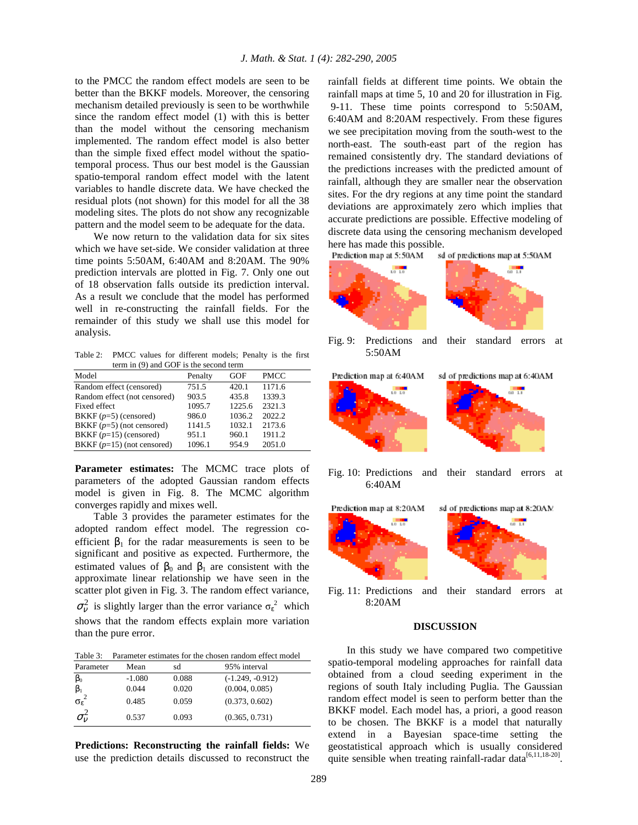to the PMCC the random effect models are seen to be better than the BKKF models. Moreover, the censoring mechanism detailed previously is seen to be worthwhile since the random effect model (1) with this is better than the model without the censoring mechanism implemented. The random effect model is also better than the simple fixed effect model without the spatiotemporal process. Thus our best model is the Gaussian spatio-temporal random effect model with the latent variables to handle discrete data. We have checked the residual plots (not shown) for this model for all the 38 modeling sites. The plots do not show any recognizable pattern and the model seem to be adequate for the data.

 We now return to the validation data for six sites which we have set-side. We consider validation at three time points 5:50AM, 6:40AM and 8:20AM. The 90% prediction intervals are plotted in Fig. 7. Only one out of 18 observation falls outside its prediction interval. As a result we conclude that the model has performed well in re-constructing the rainfall fields. For the remainder of this study we shall use this model for analysis.

Table 2: PMCC values for different models; Penalty is the first term in (9) and GOF is the second term

| Model                        | Penalty | GOF    | <b>PMCC</b> |
|------------------------------|---------|--------|-------------|
| Random effect (censored)     | 751.5   | 420.1  | 1171.6      |
| Random effect (not censored) | 903.5   | 435.8  | 1339.3      |
| Fixed effect                 | 1095.7  | 1225.6 | 2321.3      |
| BKKF $(p=5)$ (censored)      | 986.0   | 1036.2 | 2022.2      |
| BKKF $(p=5)$ (not censored)  | 1141.5  | 1032.1 | 2173.6      |
| BKKF $(p=15)$ (censored)     | 951.1   | 960.1  | 1911.2      |
| BKKF $(p=15)$ (not censored) | 1096.1  | 954.9  | 2051.0      |

**Parameter estimates:** The MCMC trace plots of parameters of the adopted Gaussian random effects model is given in Fig. 8. The MCMC algorithm converges rapidly and mixes well.

 Table 3 provides the parameter estimates for the adopted random effect model. The regression coefficient  $\beta_1$  for the radar measurements is seen to be significant and positive as expected. Furthermore, the estimated values of  $\beta_0$  and  $\beta_1$  are consistent with the approximate linear relationship we have seen in the scatter plot given in Fig. 3. The random effect variance,  $\sigma_{v}^{2}$  is slightly larger than the error variance  $\sigma_{\epsilon}^{2}$  which shows that the random effects explain more variation than the pure error.

Table 3: Parameter estimates for the chosen random effect model

| Parameter             | Mean     | sd    | 95% interval       |
|-----------------------|----------|-------|--------------------|
| $\beta_0$             | $-1.080$ | 0.088 | $(-1.249, -0.912)$ |
| $\beta_1$             | 0.044    | 0.020 | (0.004, 0.085)     |
| $\sigma_{\epsilon}^2$ | 0.485    | 0.059 | (0.373, 0.602)     |
| $\sigma_{v}$          | 0.537    | 0.093 | (0.365, 0.731)     |

**Predictions: Reconstructing the rainfall fields:** We use the prediction details discussed to reconstruct the rainfall fields at different time points. We obtain the rainfall maps at time 5, 10 and 20 for illustration in Fig. 9-11. These time points correspond to 5:50AM, 6:40AM and 8:20AM respectively. From these figures we see precipitation moving from the south-west to the north-east. The south-east part of the region has remained consistently dry. The standard deviations of the predictions increases with the predicted amount of rainfall, although they are smaller near the observation sites. For the dry regions at any time point the standard deviations are approximately zero which implies that accurate predictions are possible. Effective modeling of discrete data using the censoring mechanism developed here has made this possible.

Prediction map at 5:50AM sd of predictions map at 5:50AM



Fig. 9: Predictions and their standard errors at 5:50AM



Fig. 10: Predictions and their standard errors at 6:40AM



Fig. 11: Predictions and their standard errors at 8:20AM

#### **DISCUSSION**

 In this study we have compared two competitive spatio-temporal modeling approaches for rainfall data obtained from a cloud seeding experiment in the regions of south Italy including Puglia. The Gaussian random effect model is seen to perform better than the BKKF model. Each model has, a priori, a good reason to be chosen. The BKKF is a model that naturally extend in a Bayesian space-time setting the geostatistical approach which is usually considered quite sensible when treating rainfall-radar data $^{[6,11,18-20]}$ .